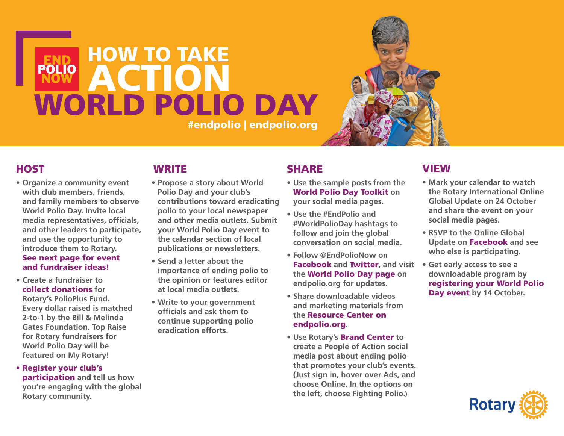# HOW TO TAKE **END<br>POLIO ACTION** WORLD POLIO DAY #endpolio | endpolio.org



#### **HOST**

- **• Organize a community event with club members, friends, and family members to observe World Polio Day. Invite local media representatives, officials, and other leaders to participate, and use the opportunity to introduce them to Rotary.**  [See next page for event](#page-1-0)  [and fundraiser ideas!](#page-1-0)
- **• Create a fundraiser to**  [collect donations](http://www.endpolio.org/donate) **for Rotary's PolioPlus Fund. Every dollar raised is matched 2-to-1 by the Bill & Melinda Gates Foundation. Top Raise for Rotary fundraisers for World Polio Day will be featured on My Rotary!**
- [Register your club's](https://www.endpolio.org/register-your-event)  [participation](https://www.endpolio.org/register-your-event) **and tell us how you're engaging with the global Rotary community.**

## **WRITE**

- **• Propose a story about World Polio Day and your club's contributions toward eradicating polio to your local newspaper and other media outlets. Submit your World Polio Day event to the calendar section of local publications or newsletters.**
- **• Send a letter about the importance of ending polio to the opinion or features editor at local media outlets.**
- **• Write to your government officials and ask them to continue supporting polio eradication efforts.**

## **SHARE**

- **• Use the sample posts from the**  [World Polio Day Toolkit](http://www.endpolio.org/world-polio-day) **on your social media pages.**
- **• Use the #EndPolio and #WorldPolioDay hashtags to follow and join the global conversation on social media.**
- **• Follow @EndPolioNow on**  [Facebook](http://www.facebook.com/endpolionow) **and** [Twitter](http://www.twitter.com/endpolionow)**, and visit the** [World Polio Day page](https://www.endpolio.org/world-polio-day) **on endpolio.org for updates.**
- **• Share downloadable videos and marketing materials from the** [Resource Center on](http://www.EndPolio.org/resource-center)  [endpolio.org](http://www.EndPolio.org/resource-center)**.**
- **• Use Rotary's** [Brand Center](https://my.rotary.org/secure/application/136) **to create a People of Action social media post about ending polio that promotes your club's events. (Just sign in, hover over Ads, and choose Online. In the options on the left, choose Fighting Polio.)**

#### **VIEW**

- **• Mark your calendar to watch the Rotary International Online Global Update on 24 October and share the event on your social media pages.**
- **• RSVP to the Online Global Update on** [Facebook](http://www.facebook.com/pg/rotary/events) **and see who else is participating.**
- **• Get early access to see a downloadable program by**  [registering your World Polio](https://www.endpolio.org/register-your-event)  [Day event](https://www.endpolio.org/register-your-event) **by 14 October.**